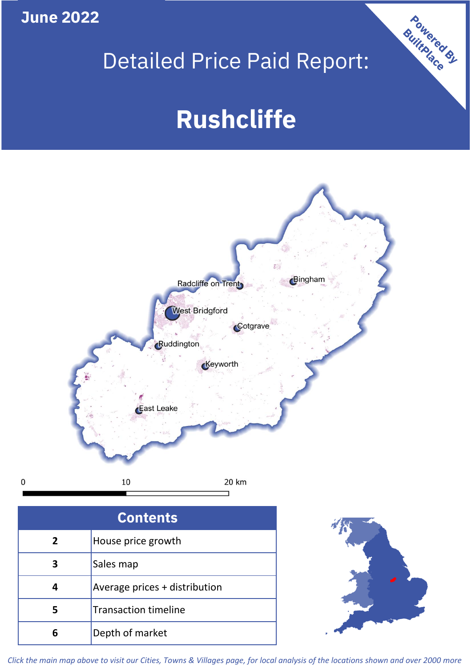**June 2022**

 $\mathbf 0$ 

## Detailed Price Paid Report:

# **Rushcliffe**



| <b>Contents</b> |                               |  |  |  |
|-----------------|-------------------------------|--|--|--|
| $\overline{2}$  | House price growth            |  |  |  |
| 3               | Sales map                     |  |  |  |
|                 | Average prices + distribution |  |  |  |
|                 | <b>Transaction timeline</b>   |  |  |  |
|                 | Depth of market               |  |  |  |



Powered By

*Click the main map above to visit our Cities, Towns & Villages page, for local analysis of the locations shown and over 2000 more*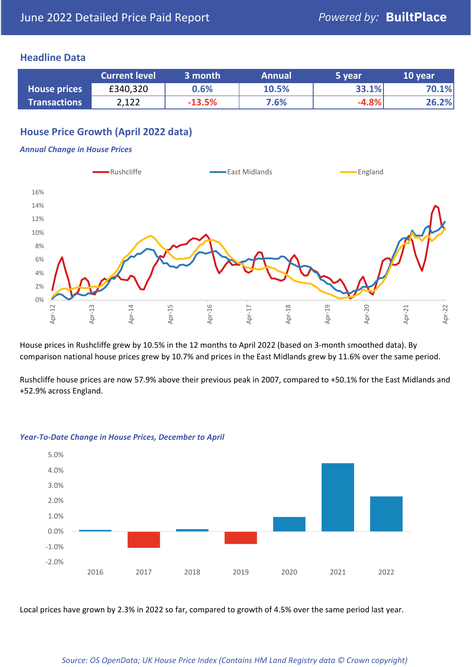#### **Headline Data**

|                     | <b>Current level</b> | 3 month  | <b>Annual</b> | 5 year  | 10 year |
|---------------------|----------------------|----------|---------------|---------|---------|
| <b>House prices</b> | £340,320             | $0.6\%$  | 10.5%         | 33.1%   | 70.1%   |
| <b>Transactions</b> | 2,122                | $-13.5%$ | 7.6%          | $-4.8%$ | 26.2%   |

## **House Price Growth (April 2022 data)**

#### *Annual Change in House Prices*



House prices in Rushcliffe grew by 10.5% in the 12 months to April 2022 (based on 3-month smoothed data). By comparison national house prices grew by 10.7% and prices in the East Midlands grew by 11.6% over the same period.

Rushcliffe house prices are now 57.9% above their previous peak in 2007, compared to +50.1% for the East Midlands and +52.9% across England.



#### *Year-To-Date Change in House Prices, December to April*

Local prices have grown by 2.3% in 2022 so far, compared to growth of 4.5% over the same period last year.

#### *Source: OS OpenData; UK House Price Index (Contains HM Land Registry data © Crown copyright)*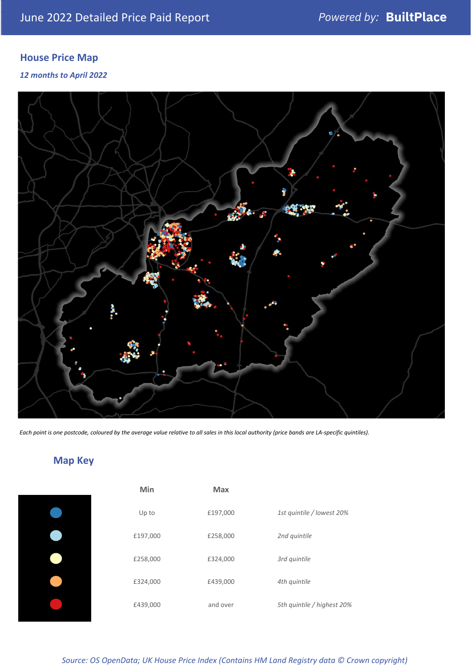## **House Price Map**

*12 months to April 2022*



*Each point is one postcode, coloured by the average value relative to all sales in this local authority (price bands are LA-specific quintiles).*

## **Map Key**

| Min      | <b>Max</b> |                            |
|----------|------------|----------------------------|
| Up to    | £197,000   | 1st quintile / lowest 20%  |
| £197,000 | £258,000   | 2nd quintile               |
| £258,000 | £324,000   | 3rd quintile               |
| £324,000 | £439,000   | 4th quintile               |
| £439,000 | and over   | 5th quintile / highest 20% |

*Source: OS OpenData; UK House Price Index (Contains HM Land Registry data © Crown copyright)*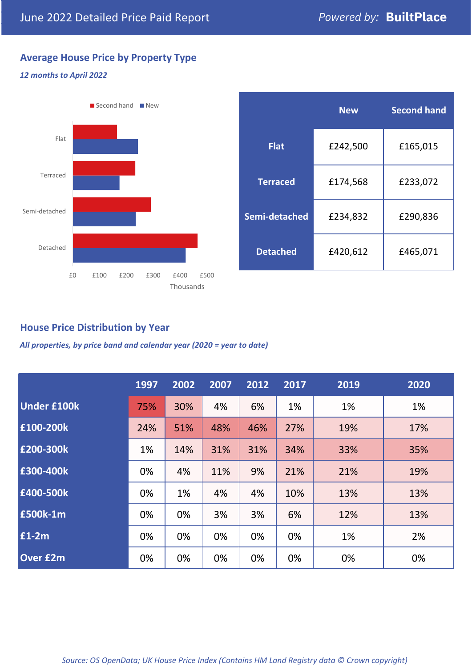## **Average House Price by Property Type**

#### *12 months to April 2022*



|                 | <b>New</b> | <b>Second hand</b> |  |  |
|-----------------|------------|--------------------|--|--|
| <b>Flat</b>     | £242,500   | £165,015           |  |  |
| <b>Terraced</b> | £174,568   | £233,072           |  |  |
| Semi-detached   | £234,832   | £290,836           |  |  |
| <b>Detached</b> | £420,612   | £465,071           |  |  |

## **House Price Distribution by Year**

*All properties, by price band and calendar year (2020 = year to date)*

|                    | 1997 | 2002 | 2007 | 2012 | 2017 | 2019 | 2020 |
|--------------------|------|------|------|------|------|------|------|
| <b>Under £100k</b> | 75%  | 30%  | 4%   | 6%   | 1%   | 1%   | 1%   |
| £100-200k          | 24%  | 51%  | 48%  | 46%  | 27%  | 19%  | 17%  |
| E200-300k          | 1%   | 14%  | 31%  | 31%  | 34%  | 33%  | 35%  |
| £300-400k          | 0%   | 4%   | 11%  | 9%   | 21%  | 21%  | 19%  |
| £400-500k          | 0%   | 1%   | 4%   | 4%   | 10%  | 13%  | 13%  |
| <b>£500k-1m</b>    | 0%   | 0%   | 3%   | 3%   | 6%   | 12%  | 13%  |
| £1-2m              | 0%   | 0%   | 0%   | 0%   | 0%   | 1%   | 2%   |
| <b>Over £2m</b>    | 0%   | 0%   | 0%   | 0%   | 0%   | 0%   | 0%   |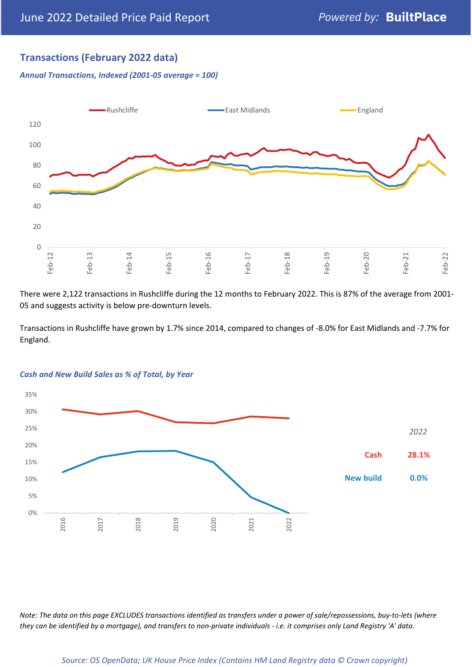## **Transactions (February 2022 data)**

*Annual Transactions, Indexed (2001-05 average = 100)*



There were 2,122 transactions in Rushcliffe during the 12 months to February 2022. This is 87% of the average from 2001- 05 and suggests activity is below pre-downturn levels.

Transactions in Rushcliffe have grown by 1.7% since 2014, compared to changes of -8.0% for East Midlands and -7.7% for England.



#### *Cash and New Build Sales as % of Total, by Year*

*Note: The data on this page EXCLUDES transactions identified as transfers under a power of sale/repossessions, buy-to-lets (where they can be identified by a mortgage), and transfers to non-private individuals - i.e. it comprises only Land Registry 'A' data.*